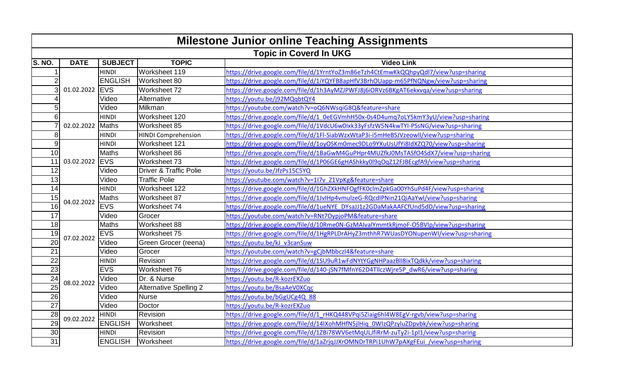| <b>Milestone Junior online Teaching Assignments</b> |                        |                |                                   |                                                                                    |  |  |  |
|-----------------------------------------------------|------------------------|----------------|-----------------------------------|------------------------------------------------------------------------------------|--|--|--|
|                                                     | Topic in Coverd In UKG |                |                                   |                                                                                    |  |  |  |
| S. NO.                                              | <b>DATE</b>            | <b>SUBJECT</b> | <b>TOPIC</b>                      | <b>Video Link</b>                                                                  |  |  |  |
| 1                                                   | 01.02.2022             | <b>HINDI</b>   | Worksheet 119                     | https://drive.google.com/file/d/1YrntYoZ3m86eTzh4CtEmwKkQQhpyQdl7/view?usp=sharing |  |  |  |
| 2                                                   |                        | <b>ENGLISH</b> | Worksheet 80                      | https://drive.google.com/file/d/1iYQYFB8apHfV3BrhOUapp-m65PfNQNgw/view?usp=sharing |  |  |  |
| 3                                                   |                        | <b>IEVS</b>    | Worksheet 72                      | https://drive.google.com/file/d/1h3AyMZJPWFJ8j6iORVz6BKgAT6ekxvqa/view?usp=sharing |  |  |  |
|                                                     |                        | Video          | Alternative                       | https://youtu.be/j92MQqbtQY4                                                       |  |  |  |
| 5                                                   |                        | Video          | Milkman                           | https://youtube.com/watch?v=oQ6NWsqiG8Q&feature=share                              |  |  |  |
| 6                                                   | 02.02.2022             | <b>HINDI</b>   | Worksheet 120                     | https://drive.google.com/file/d/1_0eEGVmhH50x-0s4D4umq7oLY5kmY3yU/view?usp=sharing |  |  |  |
|                                                     |                        | Maths          | Worksheet 85                      | https://drive.google.com/file/d/1VdcU6w0lxk33yFsfzW5N4kwTYI-PSsNG/view?usp=sharing |  |  |  |
| 8                                                   |                        | <b>HINDI</b>   | <b>HINDI Comprehension</b>        | https://drive.google.com/file/d/1FI-SiabWzxWtaP3i-i5mHeBSJVzeowll/view?usp=sharing |  |  |  |
| 9                                                   |                        | <b>HINDI</b>   | Worksheet 121                     | https://drive.google.com/file/d/1oyOSKm0mec9DLo9YXuUsUfYi8IdXZQ70/view?usp=sharing |  |  |  |
| 10 <sup>1</sup>                                     |                        | Maths          | Worksheet 86                      | https://drive.google.com/file/d/1BaGwM4GuPHpr4MUZfkJ0MsTASfO4SdX7/view?usp=sharing |  |  |  |
| 11                                                  | 03.02.2022             | <b>IEVS</b>    | Worksheet 73                      | https://drive.google.com/file/d/1P06GE6gHAShkky0l9qOqZ12FJBEcgfA9/view?usp=sharing |  |  |  |
| 12                                                  |                        | Video          | <b>Driver &amp; Traffic Polie</b> | https://youtu.be/JfzPs15C5YQ                                                       |  |  |  |
| 13                                                  |                        | Video          | <b>Traffic Polie</b>              | https://youtube.com/watch?v=1I7v Z1VpKg&feature=share                              |  |  |  |
| 14                                                  |                        | <b>HINDI</b>   | Worksheet 122                     | https://drive.google.com/file/d/1GhZXkHNFOgfFK0clmZpkGa00YhSuPd4F/view?usp=sharing |  |  |  |
| 15                                                  | 04.02.2022             | Maths          | Worksheet 87                      | https://drive.google.com/file/d/1JvlHp4vmulzeG-RQcdlPNin21QiAaYwl/view?usp=sharing |  |  |  |
| $\overline{16}$                                     |                        | <b>EVS</b>     | Worksheet 74                      | https://drive.google.com/file/d/1ueNYE_DYsaJJ1z2GDaMakAAFCfUnd5dD/view?usp=sharing |  |  |  |
| 17                                                  |                        | Video          | Grocer                            | https://youtube.com/watch?v=RNt7OypjoPM&feature=share                              |  |  |  |
| $\frac{1}{8}$                                       |                        | <b>Maths</b>   | Worksheet 88                      | https://drive.google.com/file/d/10Rme0N-GzMAIvalYmmtkRjmoF-O5BVIp/view?usp=sharing |  |  |  |
| 19                                                  | 07.02.2022             | EVS            | Worksheet 75                      | https://drive.google.com/file/d/1HgRPLDrAHyZ3mthhR7WUasDYONupenWI/view?usp=sharing |  |  |  |
| $\overline{20}$                                     |                        | Video          | Green Grocer (reena)              | https://youtu.be/kJ v3canSuw                                                       |  |  |  |
| $\overline{21}$                                     |                        | Video          | Grocer                            | https://youtube.com/watch?v=gCjbMbbczI4&feature=share                              |  |  |  |
| $\overline{22}$                                     |                        | <b>HINDI</b>   | Revision                          | https://drive.google.com/file/d/1SU9uR1wFdNYtYGgNHPaazBlI8ixTQdkk/view?usp=sharing |  |  |  |
| 23                                                  |                        | <b>EVS</b>     | Worksheet 76                      | https://drive.google.com/file/d/140-jSN7fMfnY62D4TllczWjre5P_dwR6/view?usp=sharing |  |  |  |
| 24                                                  | 08.02.2022             | Video          | Dr. & Nurse                       | https://youtu.be/R-kozrEXZuo                                                       |  |  |  |
| $\overline{25}$                                     |                        | Video          | <b>Alternative Spelling 2</b>     | https://youtu.be/BsaAeV0XCqc                                                       |  |  |  |
| 26                                                  |                        | Video          | <b>Nurse</b>                      | https://youtu.be/bGgUCg4Q 88                                                       |  |  |  |
| $\overline{27}$                                     |                        | Video          | Doctor                            | https://youtu.be/R-kozrEXZuo                                                       |  |  |  |
| 28                                                  | 09.02.2022             | <b>HINDI</b>   | Revision                          | https://drive.google.com/file/d/1_rHKQ448VPqi5Ziaig6hl4W8EgV-rgvb/view?usp=sharing |  |  |  |
| $\overline{29}$                                     |                        | <b>ENGLISH</b> | Worksheet                         | https://drive.google.com/file/d/14IXohMHfN5jlHiq_0WIzQPzyluZDpvbk/view?usp=sharing |  |  |  |
| 30                                                  |                        | <b>HINDI</b>   | Revision                          | https://drive.google.com/file/d/1ZBi78WV6etMqULJfiRrM-zuTy2i-1pl1/view?usp=sharing |  |  |  |
| $\overline{31}$                                     |                        | <b>ENGLISH</b> | Worksheet                         | https://drive.google.com/file/d/1aZrjqJJXrOMNDrTRPi1UhW7pAXgFEui /view?usp=sharing |  |  |  |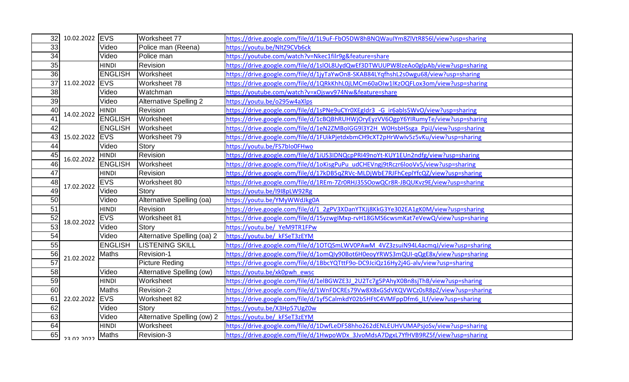| 32              | 10.02.2022 EVS<br>Video<br>Video |                | Worksheet 77                                          | https://drive.google.com/file/d/1L9uF-FbO5DW8hBNQWaulYm8ZlVtR856l/view?usp=sharing |
|-----------------|----------------------------------|----------------|-------------------------------------------------------|------------------------------------------------------------------------------------|
| 33              |                                  |                | Police man (Reena)                                    | https://voutu.be/NltZ9CVb6ck                                                       |
| 34              |                                  | Police man     | https://youtube.com/watch?v=Nkec1filr9g&feature=share |                                                                                    |
| 35              |                                  | <b>HINDI</b>   | Revision                                              | https://drive.google.com/file/d/1slOL8UydQwEf3DTWUUPW8lzeAo0glpAb/view?usp=sharing |
| 36              |                                  | <b>ENGLISH</b> | Worksheet                                             | https://drive.google.com/file/d/1jyTaYwOn8-SKAB84LYqfhshL2s0wgu68/view?usp=sharing |
| 37              | 11.02.2022 EVS                   |                | Worksheet 78                                          | https://drive.google.com/file/d/1QRkKhhL0jLMCm60aOIw1IKzOQFLox3om/view?usp=sharing |
| 38              |                                  | Video          | Watchman                                              | https://youtube.com/watch?v=xOjswv974Nw&feature=share                              |
| 39              |                                  | Video          | <b>Alternative Spelling 2</b>                         | https://youtu.be/o295w4aXlps                                                       |
| 40              | 14.02.2022                       | <b>HINDI</b>   | Revision                                              | https://drive.google.com/file/d/1sPNe9uCYr0XEgIdr3 -G ir6abls5WvO/view?usp=sharing |
| 41              |                                  | <b>ENGLISH</b> | Worksheet                                             | https://drive.google.com/file/d/1cBQBhRUHWjOryEyzVV6OgpY6YIRumyTe/view?usp=sharing |
| 42              |                                  | <b>ENGLISH</b> | Worksheet                                             | https://drive.google.com/file/d/1eN2ZMBoIGG9I3Y2H W0HsbHSsga PpiJ/view?usp=sharing |
| 43              | 15.02.2022 EVS                   |                | Worksheet 79                                          | https://drive.google.com/file/d/1FUikPjetdxbmCH9cXT2pHrWwlv5z5vKu/view?usp=sharing |
| 44              |                                  | Video          | Story                                                 | https://youtu.be/FS7blo0FHwo                                                       |
| 45              | 16.02.2022                       | <b>HINDI</b>   | Revision                                              | https://drive.google.com/file/d/1iUS3IDNQcpPRI49noYt-KUY1EUn2ndfg/view?usp=sharing |
| 46              |                                  | <b>ENGLISH</b> | Worksheet                                             | https://drive.google.com/file/d/1oKisgPuPu_udCHEVngj9tRczr6looVv5/view?usp=sharing |
| 47              |                                  | <b>HINDI</b>   | Revision                                              | https://drive.google.com/file/d/17kDB5qZRVc-MLDjWbE7RJFhCeplYfcQZ/view?usp=sharing |
| 48              | 17.02.2022                       | <b>EVS</b>     | Worksheet 80                                          | https://drive.google.com/file/d/1REm-7Zr0RHJ35SOowQCr8R-JBQUKvz9E/view?usp=sharing |
| 49              |                                  | Video          | Story                                                 | https://youtu.be/l9l8pLW92Rg                                                       |
| $\overline{50}$ |                                  | Video          | Alternative Spelling (oa)                             | https://youtu.be/YMyWWdJkg0A                                                       |
| $\overline{51}$ |                                  | <b>HINDI</b>   | Revision                                              | https://drive.google.com/file/d/1_2gPV3XDanYTKJj8KkG3Ye302EA1gK0M/view?usp=sharing |
| 52              | 18.02.2022                       | <b>EVS</b>     | Worksheet 81                                          | https://drive.google.com/file/d/15yzwgIMxp-rvH18GMS6cwsmKat7eVewQ/view?usp=sharing |
| $\overline{53}$ |                                  | Video          | Story                                                 | https://voutu.be/ YeM9TR1FPw                                                       |
| 54              |                                  | Video          | Alternative Spelling (oa) 2                           | https://youtu.be/ kFSeT3zEYM                                                       |
| 55              |                                  | <b>ENGLISH</b> | <b>LISTENING SKILL</b>                                | https://drive.google.com/file/d/10TQSmLWV0PAwM_4VZ3zsuiN94L4acmqJ/view?usp=sharing |
| 56              | 21.02.2022                       | Maths          | Revision-1                                            | https://drive.google.com/file/d/1omQly90Bot6H0eoyYRWS3mQUI-qQgE8x/view?usp=sharing |
| $\overline{57}$ |                                  |                | <b>Picture Reding</b>                                 | https://drive.google.com/file/d/1BbcYQTttF9o-DC9JciQz16Hy2j4G-alv/view?usp=sharing |
| 58              |                                  | Video          | Alternative Spelling (ow)                             | https://youtu.be/xk0pwh_ewsc                                                       |
| 59              |                                  | <b>HINDI</b>   | Worksheet                                             | https://drive.google.com/file/d/1elBGWZE3J 2U2Tc7g5PAhyX0Bn8sjThB/view?usp=sharing |
| 60              |                                  | <b>Maths</b>   | Revision-2                                            | https://drive.google.com/file/d/1WnFDCREs79Vw8X8xGSdVKQVWCz0sR8pZ/view?usp=sharing |
| 61              | 22.02.2022                       | <b>EVS</b>     | Worksheet 82                                          | https://drive.google.com/file/d/1yf5CalmkdY02b5HFtC4VMFppDfm6_lLf/view?usp=sharing |
| 62              |                                  | Video          | Story                                                 | https://youtu.be/X3Hp57UgZ0w                                                       |
| 63              |                                  | Video          | Alternative Spelling (ow) 2                           | https://youtu.be/ kFSeT3zEYM                                                       |
| 64              |                                  | <b>HINDI</b>   | Worksheet                                             | https://drive.google.com/file/d/1DwfLeDF58hho262dENLEUHVUMAPsjoSv/view?usp=sharing |
| 65              | ררחר רח בר                       | Maths          | Revision-3                                            | https://drive.google.com/file/d/1HwpoWDx 3JvoMdsA7DgxL7YfHVB9RZ5f/view?usp=sharing |